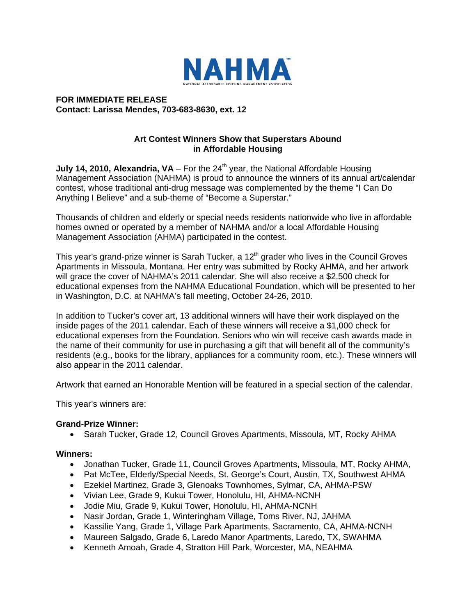

**FOR IMMEDIATE RELEASE Contact: Larissa Mendes, 703-683-8630, ext. 12** 

# **Art Contest Winners Show that Superstars Abound in Affordable Housing**

**July 14, 2010, Alexandria, VA** – For the 24<sup>th</sup> year, the National Affordable Housing Management Association (NAHMA) is proud to announce the winners of its annual art/calendar contest, whose traditional anti-drug message was complemented by the theme "I Can Do Anything I Believe" and a sub-theme of "Become a Superstar."

Thousands of children and elderly or special needs residents nationwide who live in affordable homes owned or operated by a member of NAHMA and/or a local Affordable Housing Management Association (AHMA) participated in the contest.

This year's grand-prize winner is Sarah Tucker, a  $12<sup>th</sup>$  grader who lives in the Council Groves Apartments in Missoula, Montana. Her entry was submitted by Rocky AHMA, and her artwork will grace the cover of NAHMA's 2011 calendar. She will also receive a \$2,500 check for educational expenses from the NAHMA Educational Foundation, which will be presented to her in Washington, D.C. at NAHMA's fall meeting, October 24-26, 2010.

In addition to Tucker's cover art, 13 additional winners will have their work displayed on the inside pages of the 2011 calendar. Each of these winners will receive a \$1,000 check for educational expenses from the Foundation. Seniors who win will receive cash awards made in the name of their community for use in purchasing a gift that will benefit all of the community's residents (e.g., books for the library, appliances for a community room, etc.). These winners will also appear in the 2011 calendar.

Artwork that earned an Honorable Mention will be featured in a special section of the calendar.

This year's winners are:

### **Grand-Prize Winner:**

• Sarah Tucker, Grade 12, Council Groves Apartments, Missoula, MT, Rocky AHMA

### **Winners:**

- Jonathan Tucker, Grade 11, Council Groves Apartments, Missoula, MT, Rocky AHMA,
- Pat McTee, Elderly/Special Needs, St. George's Court, Austin, TX, Southwest AHMA
- Ezekiel Martinez, Grade 3, Glenoaks Townhomes, Sylmar, CA, AHMA-PSW
- Vivian Lee, Grade 9, Kukui Tower, Honolulu, HI, AHMA-NCNH
- Jodie Miu, Grade 9, Kukui Tower, Honolulu, HI, AHMA-NCNH
- Nasir Jordan, Grade 1, Winteringham Village, Toms River, NJ, JAHMA
- Kassilie Yang, Grade 1, Village Park Apartments, Sacramento, CA, AHMA-NCNH
- Maureen Salgado, Grade 6, Laredo Manor Apartments, Laredo, TX, SWAHMA
- Kenneth Amoah, Grade 4, Stratton Hill Park, Worcester, MA, NEAHMA